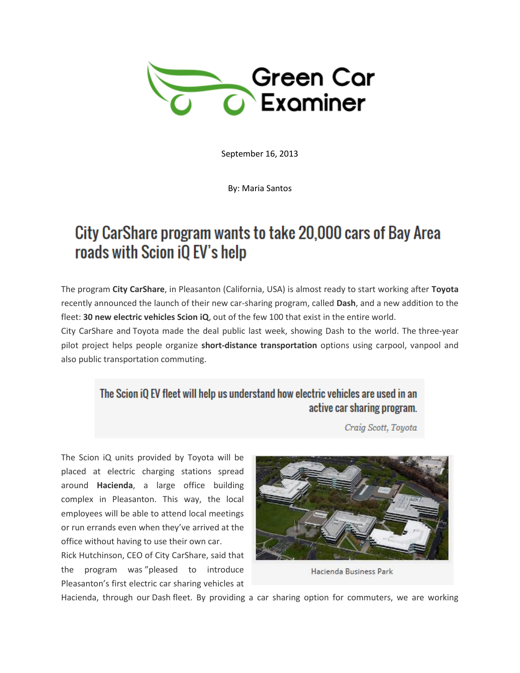

September 16, 2013

By: Maria Santos

## City CarShare program wants to take 20,000 cars of Bay Area roads with Scion iQ EV's help

The program **City CarShare**, in Pleasanton (California, USA) is almost ready to start working after **Toyota** recently announced the launch of their new car-sharing program, called **Dash**, and a new addition to the fleet: **30 new electric vehicles Scion iQ**, out of the few 100 that exist in the entire world.

City CarShare and Toyota made the deal public last week, showing Dash to the world. The three-year pilot project helps people organize **short-distance transportation** options using carpool, vanpool and also public transportation commuting.

## The Scion iQ EV fleet will help us understand how electric vehicles are used in an active car sharing program.

Craig Scott, Toyota

The Scion iQ units provided by Toyota will be placed at electric charging stations spread around **Hacienda**, a large office building complex in Pleasanton. This way, the local employees will be able to attend local meetings or run errands even when they've arrived at the office without having to use their own car.

Rick Hutchinson, CEO of City CarShare, said that the program was "pleased to introduce Pleasanton's first electric car sharing vehicles at



Hacienda Business Park

Hacienda, through our Dash fleet. By providing a car sharing option for commuters, we are working